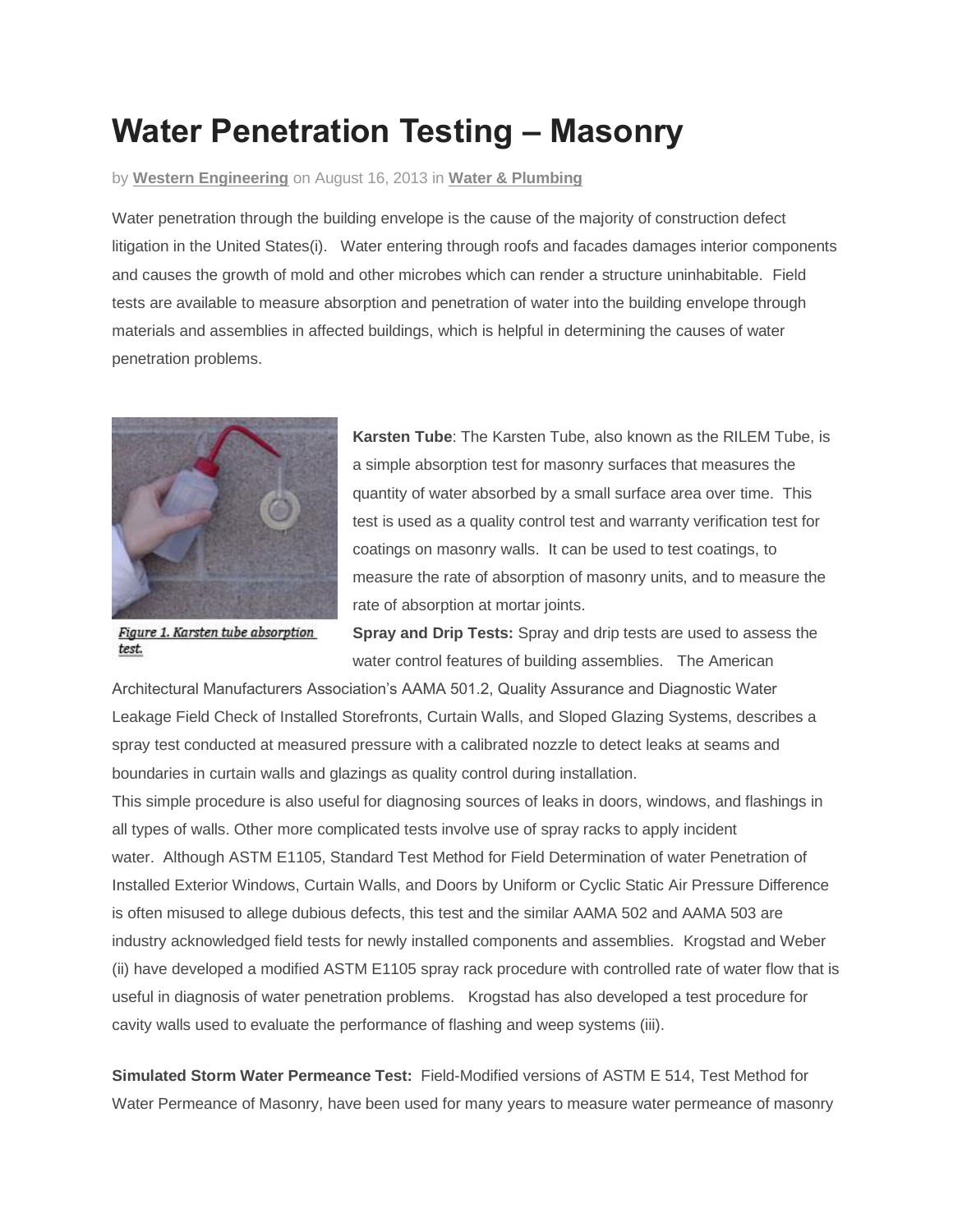## **Water Penetration Testing – Masonry**

## by **Western [Engineering](http://www.werc.com/author/wercadmin/)** on August 16, 2013 in **Water & [Plumbing](http://www.werc.com/category/water-plumbing/)**

Water penetration through the building envelope is the cause of the majority of construction defect litigation in the United States(i). Water entering through roofs and facades damages interior components and causes the growth of mold and other microbes which can render a structure uninhabitable. Field tests are available to measure absorption and penetration of water into the building envelope through materials and assemblies in affected buildings, which is helpful in determining the causes of water penetration problems.



Figure 1. Karsten tube absorption test.

**Karsten Tube**: The Karsten Tube, also known as the RILEM Tube, is a simple absorption test for masonry surfaces that measures the quantity of water absorbed by a small surface area over time. This test is used as a quality control test and warranty verification test for coatings on masonry walls. It can be used to test coatings, to measure the rate of absorption of masonry units, and to measure the rate of absorption at mortar joints.

**Spray and Drip Tests:** Spray and drip tests are used to assess the water control features of building assemblies. The American

Architectural Manufacturers Association's AAMA 501.2, Quality Assurance and Diagnostic Water Leakage Field Check of Installed Storefronts, Curtain Walls, and Sloped Glazing Systems, describes a spray test conducted at measured pressure with a calibrated nozzle to detect leaks at seams and boundaries in curtain walls and glazings as quality control during installation.

This simple procedure is also useful for diagnosing sources of leaks in doors, windows, and flashings in all types of walls. Other more complicated tests involve use of spray racks to apply incident water. Although ASTM E1105, Standard Test Method for Field Determination of water Penetration of Installed Exterior Windows, Curtain Walls, and Doors by Uniform or Cyclic Static Air Pressure Difference is often misused to allege dubious defects, this test and the similar AAMA 502 and AAMA 503 are industry acknowledged field tests for newly installed components and assemblies. Krogstad and Weber (ii) have developed a modified ASTM E1105 spray rack procedure with controlled rate of water flow that is useful in diagnosis of water penetration problems. Krogstad has also developed a test procedure for cavity walls used to evaluate the performance of flashing and weep systems (iii).

**Simulated Storm Water Permeance Test:** Field-Modified versions of ASTM E 514, Test Method for Water Permeance of Masonry, have been used for many years to measure water permeance of masonry